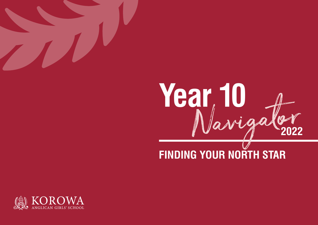



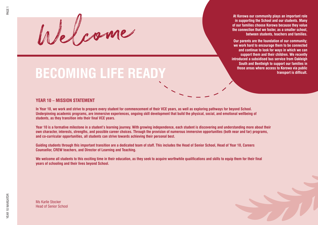Welcome

# **BECOMING LIFE READY**

### **YEAR 10 – MISSION STATEMENT**

**In Year 10, we work and strive to prepare every student for commencement of their VCE years, as well as exploring pathways for beyond School. Underpinning academic programs, are immersive experiences, ongoing skill development that build the physical, social, and emotional wellbeing of students, as they transition into their final VCE years.**

**Year 10 is a formative milestone in a student's learning journey. With growing independence, each student is discovering and understanding more about their own character, interests, strengths, and possible career choices. Through the provision of numerous immersive opportunities (both near and far) programs, and co-curricular opportunities, all students can strive towards achieving their personal best.**

**Guiding students through this important transition are a dedicated team of staff. This includes the Head of Senior School, Head of Year 10, Careers Counsellor, CREW teachers, and Director of Learning and Teaching.** 

**We welcome all students to this exciting time in their education, as they seek to acquire worthwhile qualifications and skills to equip them for their final years of schooling and their lives beyond School.**

**At Korowa our community plays an important role in supporting the School and our students. Many of our families choose Korowa because they value the connection that we foster, as a smaller school,** 

**Our parents are the foundation of our community; we work hard to encourage them to be connected and continue to look for ways in which we can support them and their children. We recently introduced a subsidised bus service from Oakleigh South and Bentleigh to support our families in those areas where access to Korowa via public** 

**between students, teachers and families.**

**transport is difficult.**

Ms Karlie Stocker Head of Senior School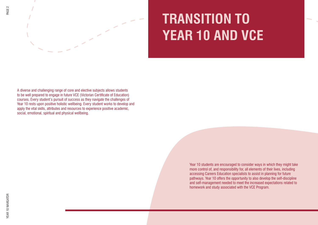



# **TRANSITION TO YEAR 10 AND VCE**

A diverse and challenging range of core and elective subjects allows students to be well prepared to engage in future VCE (Victorian Certificate of Education) courses. Every student's pursuit of success as they navigate the challenges of Year 10 rests upon positive holistic wellbeing. Every student works to develop and apply the vital skills, attributes and resources to experience positive academic, social, emotional, spiritual and physical wellbeing.

> Year 10 students are encouraged to consider ways in which they might take more control of, and responsibility for, all elements of their lives, including accessing Careers Education specialists to assist in planning for future pathways. Year 10 offers the opportunity to also develop the self-discipline and self-management needed to meet the increased expectations related to homework and study associated with the VCE Program.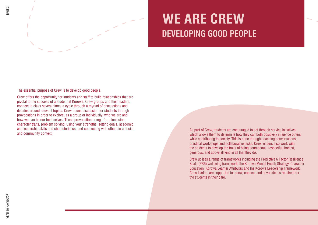



### **WE ARE CREW DEVELOPING GOOD PEOPLE**

The essential purpose of Crew is to develop good people.

Crew offers the opportunity for students and staff to build relationships that are pivotal to the success of a student at Korowa. Crew groups and their leaders, connect in class several times a cycle through a myriad of discussions and debates around relevant topics. Crew opens discussion for students through provocations in order to explore, as a group or individually, who we are and how we can be our best selves. These provocations range from inclusion, character traits, problem solving, using your strengths, setting goals, academic and leadership skills and characteristics, and connecting with others in a social and community context.

As part of Crew, students are encouraged to act through service initiatives which allows them to determine how they can both positively influence others while contributing to society. This is done through coaching conversations, practical workshops and collaborative tasks. Crew leaders also work with the students to develop the traits of being courageous, respectful, honest, generous, and above all kind in all that they do.

Crew utilises a range of frameworks including the Predictive 6 Factor Resilience Scale (PR6) wellbeing framework, the Korowa Mental Health Strategy, Character Education, Korowa Learner Attributes and the Korowa Leadership Framework. Crew leaders are supported to: know, connect and advocate, as required, for the students in their care.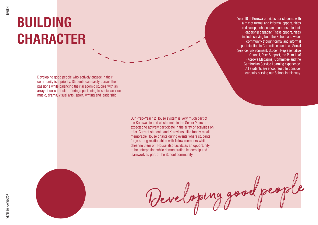# **BUILDING CHARACTER**

Developing good people who actively engage in their community is a priority. Students can easily pursue their passions while balancing their academic studies with an array of co-curricular offerings pertaining to social service, music, drama, visual arts, sport, writing and leadership.

> Our Prep–Year 12 House system is very much part of the Korowa life and all students in the Senior Years are expected to actively participate in the array of activities on offer. Current students and Korovians alike fondly recall memorable House chants during events where students forge strong relationships with fellow members while cheering them on. House also facilitates an opportunity to be enterprising while demonstrating leadership and teamwork as part of the School community.

> > Developing good people

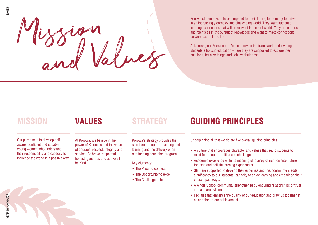Mission, <sup>a</sup><sup>n</sup>d Values

Korowa students want to be prepared for their future, to be ready to thrive in an increasingly complex and challenging world. They want authentic learning experiences that will be relevant in the real world. They are curious and relentless in the pursuit of knowledge and want to make connections between school and life.

At Korowa, our Mission and Values provide the framework to delivering students a holistic education where they are supported to explore their passions, try new things and achieve their best.

### **MISSION VALUES STRATEGY GUIDING PRINCIPLES**

#### Our purpose is to develop selfaware, confident and capable young women who understand their responsibility and capacity to influence the world in a positive way.

At Korowa, we believe in the power of Kindness and the values of courage, respect, integrity and service. Be brave, respectful, honest, generous and above all be Kind.

Korowa's strategy provides the structure to support teaching and learning and the delivery of an outstanding education program.

Key elements:

- The Place to connect
- The Opportunity to excel
- The Challenge to learn

Underpinning all that we do are five overall guiding principles:

- A culture that encourages character and values that equip students to meet future opportunities and challenges.
- Academic excellence within a meaningful journey of rich, diverse, futurefocused and holistic learning experiences.
- Staff are supported to develop their expertise and this commitment adds significantly to our students' capacity to enjoy learning and embark on their chosen pathways.
- A whole School community strengthened by enduring relationships of trust and a shared vision.
- Facilities that enhance the quality of our education and draw us together in celebration of our achievement.

PAGE 5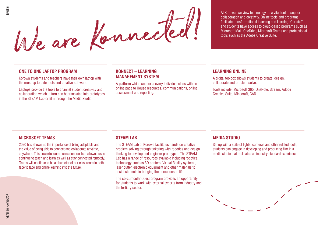

At Korowa, we view technology as a vital tool to support collaboration and creativity. Online tools and programs facilitate transformational teaching and learning. Our staff and students have access to cloud-based programs such as Microsoft Mail, OneDrive, Microsoft Teams and professional

### **ONE TO ONE LAPTOP PROGRAM**

Korowa students and teachers have their own laptop with the most up to date tools and creative software.

Laptops provide the tools to channel student creativity and collaboration which in turn can be translated into prototypes in the STEAM Lab or film through the Media Studio.

### **KONNECT – LEARNING MANAGEMENT SYSTEM**

A platform which supports every individual class with an online page to House resources, communications, online assessment and reporting.

### **LEARNING ONLINE**

A digital toolbox allows students to create, design, collaborate and problem solve.

Tools include: Microsoft 365, OneNote, Stream, Adobe Creative Suite, Minecraft, CAD.

#### **MICROSOFT TEAMS**

2020 has shown us the importance of being adaptable and the value of being able to connect and collaborate anytime, anywhere. This powerful communication tool has allowed us to continue to teach and learn as well as stay connected remotely. Teams will continue to be a character of our classroom in both face to face and online learning into the future.

### **STEAM LAB**

The STEAM Lab at Korowa facilitates hands on creative problem solving through tinkering with robotics and design thinking to develop and engineer prototypes. The STEAM Lab has a range of resources available including robotics. technology such as 3D printers, Virtual Reality systems, laser cutter, electronic equipment and other materials to assist students in bringing their creations to life.

The co-curricular Quest program provides an opportunity for students to work with external experts from industry and the tertiary sector.

### **MEDIA STUDIO**

Set up with a suite of lights, cameras and other related tools, students can engage in developing and producing film in a media studio that replicates an industry standard experience.

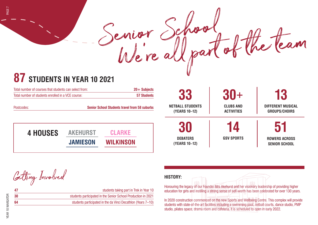# **87 STUDENTS IN YEAR 10 2021** Senior School fol the team

| Total number of courses that students can select from: | $20 +$ Subjects                                      |  |
|--------------------------------------------------------|------------------------------------------------------|--|
| Total number of students enrolled in a VCE course:     | 57 Students                                          |  |
| Postcodes:                                             | <b>Senior School Students travel from 58 suburbs</b> |  |

| <b>4 HOUSES</b> | <b>AKEHURST</b> | <b>CLARKE</b>    |
|-----------------|-----------------|------------------|
|                 | <b>JAMIESON</b> | <b>WILKINSON</b> |

**13 DIFFERENT MUSICAL GROUPS/CHOIRS 33 NETBALL STUDENTS (YEARS 10–12) 30+ CLUBS AND ACTIVITIES 14 GSV SPORTS 51 ROWERS ACROSS SENIOR SCHOOL 30 DEBATERS (YEARS 10–12)**

Getting Involved

| 47 | students taking part in Trek in Year 10                       |
|----|---------------------------------------------------------------|
| 30 | students participated in the Senior School Production in 2021 |
| 64 | students participated in the da Vinci Decathlon (Years 7–10)  |
|    |                                                               |

### **HISTORY:**

Senior School

Honouring the legacy of our Founder Mrs Akehurst and her visionary leadership of providing higher education for girls and instilling a strong sense of self-worth has been celebrated for over 130 years.

In 2020 construction commenced on the new Sports and Wellbeing Centre. This complex will provide students with state-of-the-art facilities including a swimming pool, netball courts, dance studio, PMP studio, pilates space, drama room and cafeteria. It is scheduled to open in early 2022.

PAGE 7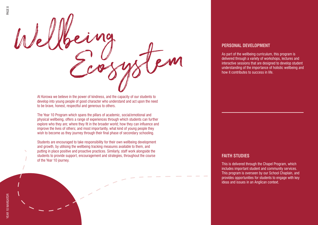

At Korowa we believe in the power of kindness, and the capacity of our students to develop into young people of good character who understand and act upon the need to be brave, honest, respectful and generous to others.

The Year 10 Program which spans the pillars of academic, social/emotional and physical wellbeing, offers a range of experiences through which students can further explore who they are; where they fit in the broader world; how they can influence and improve the lives of others; and most importantly, what kind of young people they wish to become as they journey through their final phase of secondary schooling.

Students are encouraged to take responsibility for their own wellbeing development and growth, by utilising the wellbeing tracking measures available to them, and putting in place positive and proactive practices. Similarly, staff work alongside the students to provide support, encouragement and strategies, throughout the course of the Year 10 journey.

#### **PERSONAL DEVELOPMENT**

As part of the wellbeing curriculum, this program is delivered through a variety of workshops, lectures and interactive sessions that are designed to develop student understanding of the importance of holistic wellbeing and how it contributes to success in life.

### **FAITH STUDIES**

This is delivered through the Chapel Program, which includes important student and community services. This program is overseen by our School Chaplain, and provides opportunities for students to engage with key ideas and issues in an Anglican context.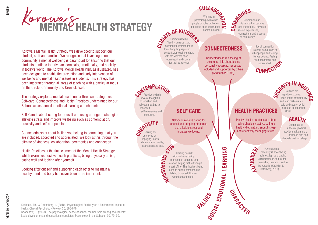#### **SELF CARE CONNECTEDNESS** Self-care involves caring for oneself and adopting strategies that alleviate stress and increase wellbeing. Connectedness is a feeling of belonging. It is about feeling personally accepted, respected, included and supported by others (Goodenow, 1993). Working in partnership with other **COLLAB**<br>
Working in<br>
people to solve problems. It's about open and trusting  $\geq$ communication. rituals mark occasions and transitions. They build shared experiences, connections and a sense of community. Caring for ourselves by engaging in arts, dance, music, crafts, expression and play. Practices which involve thoughtful observation and reflection leading to enhanced self-awareness and spirituality. Characterised by friendly, generous and considerate interactions in tone, body language and content. Approaching others with the warmth of an open-heart and concern for their experience. Treating oneself with kindness during moments of suffering and acknowledging that suffering is a part of life. This involves being open to painful emotions and talking to our self like we would a good friend. **CEREMONIES**  $E$  **CMPL DE KIND CREATIVIT<sup>Y</sup> SELF COM PASSIO VALUES CHARACTER EMOTIO N A L L E A R NIN G** Korowa's HEALTH STRATEGY Korowa's Mental Health Strategy was developed to support our student, staff and families. We recognise that investing in our community's mental wellbeing is paramount for ensuring that our students continue to thrive academically, emotionally, and socially in today's world. The Korowa Mental Health Plan, as illustrated, has been designed to enable the prevention and early intervention of wellbeing and mental health issues in students. This strategy has been integrated through all areas of teaching with a particular focus on the Circle, Community and Crew classes. The strategy explores mental health under three sub-categories: Self-care, Connectedness and Health Practices underpinned by our School values, social emotional learning and character. Self-Care is about caring for oneself and using a range of strategies alleviate stress and improve wellbeing such as contemplation, creativity and self-compassion. Connectedness is about feeling you belong to something, that you are included, accepted and appreciated. We look at this through the climate of kindness, collaboration, ceremonies and connection. Health Practices is the final element of the Mental Health Strategy which examines positive health practices, being physically active, eating well and looking after yourself. Looking after oneself and supporting each other to maintain a healthy mind and body has never been more important.

**HEALTH PRACTICES** Positive health practices are about being physically active, eating a healthy diet, getting enough sleep, and effectively managing stress. Routines are repetitive actions. They create predictabili and can make us feel safe and secure, which helps us to cope with stress. Comprised of sufficient physical activity, nutrition and a **SPATY IN ROUTE**<br> **EQUATIVE** ROUTE **ROUTE**<br>
They create predictions. **HEALTH**

Social connection is about being close to other people and feeling like we belong. Feeling seen, respected, and

Ceremonies and

appreciated. **<sup>C</sup>ONNECTIO<sup>N</sup>**

Psychological flexibility is about being able to adapt to changing circumstances, to balance competing demands, and to

be versatile (Kashdan & Rottenberg, 2010).

**FLEXIBILITY**

**SOCIAL**

balanced diet, and adequate rest and sleep.

Kashdan, T.B., & Rottenberg, J. (2010). Psychological flexibility as a fundamental aspect of health. Clinical Psychology Review, 30, 865-878.

Goodenow, C. (1993). The psychological sense of school membership among adolescents: Scale development and educational correlates. Psychology in the Schools, 30, 79–90.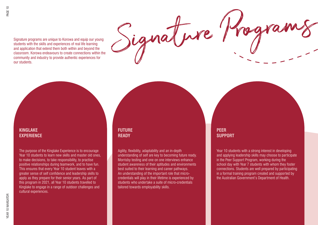$S_{\text{square}}$  Programs are unique to Korowa and equip our young<br>students with the skills and experiences of real life learning<br>classroom. Korowa and experiences of real life learning students with the skills and experiences of real life learning and application that extend them both within and beyond the classroom. Korowa endeavours to create connections within the community and industry to provide authentic experiences for our students.

### **KINGLAKE EXPERIENCE**

The purpose of the Kinglake Experience is to encourage Year 10 students to learn new skills and master old ones, to make decisions, to take responsibility, to practise positive relationships during teamwork, and to have fun. This ensures that every Year 10 student leaves with a greater sense of self confidence and leadership skills to apply as they prepare for their senior years. As part of this program in 2021, all Year 10 students travelled to Kinglake to engage in a range of outdoor challenges and cultural experiences.

### **FUTURE READY**

Agility, flexibility, adaptability and an in-depth understanding of self are key to becoming future ready. Morrisby testing and one on one interviews enhance student awareness of their aptitudes and environments best suited to their learning and career pathways. An understanding of the important role that microcredentials will play in their lifetime is experienced by students who undertake a suite of micro-credentials tailored towards employability skills.

### **PEER SUPPORT**

Year 10 students with a strong interest in developing and applying leadership skills may choose to participate in the Peer Support Program, working during the school day with Year 7 students with whom they foster connections. Students are well prepared by participating in a formal training program created and supported by the Australian Government's Department of Health.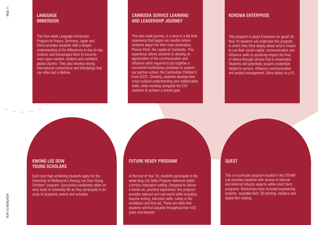### **LANGUAGE IMMERSION**

This four-week Language Immersion Program to France, Germany, Japan and China provides students with a deeper understanding of the differences in day-to-day routines and encourages them to become more open-minded, resilient and confident global citizens. They also develop strong international connections and friendships that can often last a lifetime.

### **CAMBODIA SERVICE LEARNING AND LEADERSHIP JOURNEY**

This two-week journey, is a once in a life time experience that begins six months before students depart for their main destination, Phnom Penh, the capital of Cambodia. This experience allows students to develop an appreciation of the communication and influence skills required to put together a successful fundraising campaign to support our partner school, the Cambodian Children's Fund (CCF). Similarly, students develop their cross-cultural understanding and collaborative skills, when working alongside the CCF students to achieve a shared goal.

### **KOROWA ENTERPRISE**

This program is about Enterprise for good! All Year 10 students will undertake this program in which they think deeply about what it means to use their social capital, communication and influence skills to positively impact the lives of others through service that is meaningful. Students will potentially acquire credentials related to service, influence communication and project management. More detals on p15.

### **KWONG LEE DOW YOUNG SCHOLARS**

Each year high achieving students apply for the University of Melbourne's Kwong Lee Dow Young Scholars' program. Successful candidates attain an early taste of university life as they participate in an array of academic events and activities.

### **FUTURE READY PROGRAM**

At the end of Year 10, students participate in the week-long Life Skills Program delivered within a tertiary education setting. Designed to deliver a hands-on, practical experience, this program provides relevant and real-world skills including resume writing, interview skills, safety in the workplace and first aid. These are skills that students will find valuable throughout their VCE years and beyond.

### **QUEST**

and external mudstry experts within short term<br>programs. Workshops have included engineering the Steam Labor Bronzeller with the Steam Labor.<br>Steam Labor 20 printing reporting and projects, wearable tech, 3D printing, robotics and<br>digital film making experiment with short term programs. This co-curricular program located in the STEAM Lab provides students with access to internal and external industry experts within short term digital film making.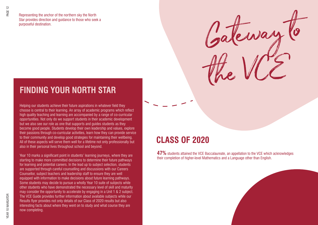Representing the anchor of the northern sky the North Star provides direction and guidance to those who seek a purposeful destination.

### **FINDING YOUR NORTH STAR**

Helping our students achieve their future aspirations in whatever field they choose is central to their learning. An array of academic programs which reflect high quality teaching and learning are accompanied by a range of co-curricular opportunities. Not only do we support students in their academic development but we also see our role as one that supports and guides students as they become good people. Students develop their own leadership and values, explore their passions through co-curricular activities, learn how they can provide service to their community and develop good strategies for maintaining their wellbeing. All of these aspects will serve them well for a lifetime not only professionally but also in their personal lives throughout school and beyond.

Year 10 marks a significant point in students' learning journeys, where they are starting to make more committed decisions to determine their future pathways for learning and potential careers. In the lead up to subject selection, students are supported through careful counselling and discussions with our Careers Counsellor, subject teachers and leadership staff to ensure they are well equipped with information to make decisions about future learning pathways. Some students may decide to pursue a wholly Year 10 suite of subjects while other students who have demonstrated the necessary level of skill and maturity may consider the opportunity to accelerate by engaging in a Unit 1 & 2 subject. The VCE Guide provides further information about available subjects while our Results flyer provides not only details of our Class of 2020 results but also interesting facts about where they went on to study and what course they are now completing.

### **CLASS OF 2020**

**47%** students attained the VCE Baccalaureate, an appellation to the VCE which acknowledges their completion of higher-level Mathematics and a Language other than English.

Cavar

the VCE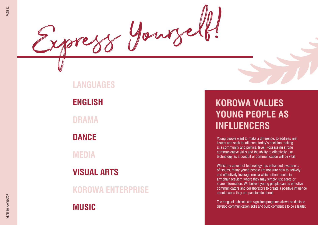### **LANGUAGES**

Express Yourself!

**ENGLISH**

**DRAMA**

**DANCE**

**MEDIA**

**VISUAL ARTS**

**KOROWA ENTERPRISE**

**MUSIC**

### **KOROWA VALUES YOUNG PEOPLE AS INFLUENCERS**

Young people want to make a difference, to address real issues and seek to influence today's decision making at a community and political level. Possessing strong communicative skills and the ability to effectively use technology as a conduit of communication will be vital.

Whilst the advent of technology has enhanced awareness of issues, many young people are not sure how to actively and effectively leverage media which often results in armchair activism where they may simply just agree or share information. We believe young people can be effective communicators and collaborators to create a positive influence about issues they are passionate about.

The range of subjects and signature programs allows students to develop communication skills and build confidence to be a leader.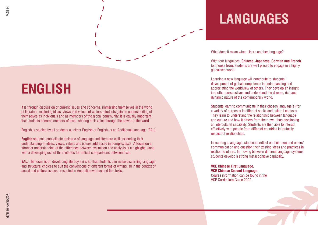# **ENGLISH**

It is through discussion of current issues and concerns, immersing themselves in the world of literature, exploring ideas, views and values of writers, students gain an understanding of themselves as individuals and as members of the global community. It is equally important that students become creators of texts, sharing their voice through the power of the word.

English is studied by all students as either English or English as an Additional Language (EAL).

**English** students consolidate their use of language and literature while extending their understanding of ideas, views, values and issues addressed in complex texts. A focus on a stronger understanding of the difference between evaluation and analysis is a highlight, along with a developing use of the methods for critical comparisons between texts.

**EAL:** The focus is on developing literacy skills so that students can make discerning language and structural choices to suit the conventions of different forms of writing, all in the context of social and cultural issues presented in Australian written and film texts.

# **LANGUAGES**

What does it mean when I learn another language?

With four languages, **Chinese, Japanese, German and French**  to choose from, students are well placed to engage in a highly globalised world.

Learning a new language will contribute to students' development of global competence in understanding and appreciating the worldview of others. They develop an insight into other perspectives and understand the diverse, rich and dynamic nature of the contemporary world.

Students learn to communicate in their chosen language(s) for a variety of purposes in different social and cultural contexts. They learn to understand the relationship between language and culture and how it differs from their own, thus developing an intercultural capability. Students are then able to interact effectively with people from different countries in mutually respectful relationships.

In learning a language, stuudents reflect on their own and others' communication and question their existing ideas and practices in relation to others. In moving between different language systems students develop a strong metacognitive capability.

**VCE Chinese First Language. VCE Chinese Second Language.**  Course information can be found in the VCE Curriculum Guide 2022.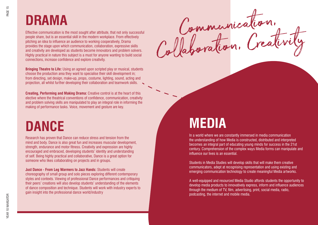Effective communication is the most sought after attribute, that not only successful people share, but is an essential skill in the modern workplace. From effectively pitching an idea to influence an audience to working cooperatively, Drama provides the stage upon which communication, collaboration, expressive skills and creativity are developed as students become innovators and problem solvers. Highly practical in nature this subject is a must for anyone wanting to build social connections, increase confidence and explore creativity.

**Bringing Theatre to Life:** Using an agreed upon scripted play or musical, students choose the production area they want to specialise their skill development in; from directing, set design, make-up, props, costume, lighting, sound, acting and projection, all whilst further developing their collaboration and teamwork skills.

**Creating, Performing and Making Drama:** Creative control is at the heart of this elective where the theatrical conventions of confidence, communication, creativity and problem solving skills are manipulated to play an integral role in informing the making of performance tasks. Voice, movement and gesture are key.

### **DANCE**

Research has proven that Dance can reduce stress and tension from the mind and body. Dance is also great fun and increases muscular development, strength, endurance and motor fitness. Creativity and expression are highly encouraged and embraced, developing students' identity and understanding of self. Being highly practical and collaborative, Dance is a great option for someone who likes collaborating on projects and in groups.

**Just Dance - From Leg Warmers to Jazz Hands:** Students will create choreography of small group and solo pieces exploring different contemporary styles and contexts. Viewing of professional Dance performances and critiquing their peers' creations will also develop students' understanding of the elements of dance composition and technique. Students will work with industry experts to gain insight into the professional dance world/industry

Communication,

### **MEDIA**

In a world where we are constantly immersed in media communication the understanding of how Media is constructed, distributed and interpreted becomes an integral part of educating young minds for success in the 21st century. Comprehension of the complex ways Media forms can manipulate and influence our lives is an essential.

Students in Media Studies will develop skills that will make them creative communicators, adept at recognising representation and using existing and emerging communication technology to create meaningful Media artworks.

A well-equipped and resourced Media Studio affords students the opportunity to develop media products to innovatively express, inform and influence audiences through the medium of TV, film, advertising, print, social media, radio, podcasting, the internet and mobile media.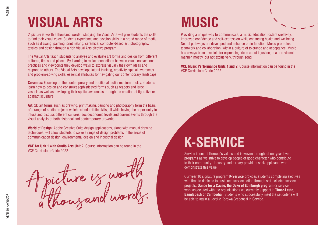# **VISUAL ARTS MUSIC**

'A picture is worth a thousand words'; studying the Visual Arts will give students the skills to find their visual voice. Students experience and develop skills in a broad range of media, such as drawing, painting, printmaking, ceramics, computer-based art, photography, textiles and design through a rich Visual Arts elective program.

The Visual Arts teach students to analyse and evaluate art forms and design from different cultures, times and places. By learning to make connections between visual conventions, practices and viewpoints they develop ways to express visually their own ideas and respond to others. The Visual Arts develops lateral thinking, creativity, spatial awareness and problem-solving skills, essential attributes for navigating our contemporary landscape.

**Ceramics:** Focusing on the contemporary and traditional tactile medium of clay, students learn how to design and construct sophisticated forms such as teapots and large vessels as well as developing their spatial awareness through the creation of figurative or abstract sculpture.

**Art:** 2D art forms such as drawing, printmaking, painting and photography form the basis of a range of studio projects which extend artistic skills, all while having the opportunity to infuse and discuss different cultures, socioeconomic levels and current events through the visual analysis of both historical and contemporary artworks.

**World of Design:** Adobe Creative Suite design applications, along with manual drawing techniques, will allow students to solve a range of design problems in the areas of communication design, environmental design and industrial design.

**VCE Art Unit 1 with Studio Arts Unit 2.** Course information can be found in the VCE Curriculum Guide 2022.

A picture is worth 1 flows and words.

Providing a unique way to communicate, a music education fosters creativity, improved confidence and self-expression while enhancing health and wellbeing. Neural pathways are developed and enhance brain function. Music promotes teamwork and collaboration, within a culture of tolerance and acceptance. Music has always been a vehicle for expressing ideas about injustice, in a non-violent manner, mostly, but not exclusively, through song.

**VCE Music Performance Units 1 and 2.** Course information can be found in the VCE Curriculum Guide 2022.

### **K-SERVICE**

Service is one of Korowa's values and is woven throughout our year level programs as we strive to develop people of good character who contribute to their community. Industry and tertiary providers seek applicants who demonstrate this value.

Our Year 10 signature program **K-Service** provides students completing electives with time to dedicate to sustained service action through self-selected service projects, **Dance for a Cause, the Duke of Edinburgh program** or service work associated with the organisations we currently support in **Timor-Leste, Bangladesh or Cambodia**. Students who successfully meet the set criteria will be able to attain a Level 2 Korowa Credential in Service.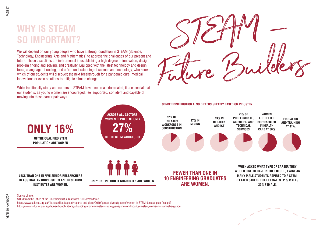### **WHY IS STEAM SO IMPORTANT?**

Technology, Engineering, Arts and Mathematics) to address the challenges of our present and future. These disciplines are instrumental in establishing a high degree of innovation, design, problem finding and solving, and creativity. Equipped with the latest technology and design tools, a language of coding, and a firm understanding of science and technology, who knows which of our students will discover; the next breakthrough for a pandemic cure, medical innovations or even solutions to mitigate climate change.

While traditionally study and careers in STEAM have been male dominated, it is essential that our students, as young women are encouraged, feel supported, confident and capable of moving into these career pathways.



**GENDER DISTRIBUTION ALSO DIFFERS GREATLY BASED ON INDUSTRY.**



**LESS THAN ONE IN FIVE SENIOR RESEARCHERS IN AUSTRALIAN UNIVERSITIES AND RESEARCH INSTITUTES ARE WOMEN.** 

**ONLY 16%**

**OF THE QUALIFIED STEM POPULATION ARE WOMEN**

**ONLY ONE IN FOUR IT GRADUATES ARE WOMEN.**

**ACROSS ALL SECTORS, WOMEN REPRESENT ONLY** 

**27%**

**OF THE STEM WORKFORCE**

**FEWER THAN ONE IN 10 ENGINEERING GRADUATES ARE WOMEN.** 

**WHEN ASKED WHAT TYPE OF CAREER THEY WOULD LIKE TO HAVE IN THE FUTURE, TWICE AS MANY MALE STUDENTS ASPIRED TO A STEM-RELATED CAREER THAN FEMALES. 41% MALES. 20% FEMALE.**

### Source of info:

STEM from the Office of the Chief Scientist's Australia's STEM Workforce

https://www.science.org.au/files/userfiles/support/reports-and-plans/2019/gender-diversity-stem/women-in-STEM-decadal-plan-final.pdf https://www.industry.gov.au/data-and-publications/advancing-women-in-stem-strategy/snapshot-of-disparity-in-stem/women-in-stem-at-a-glance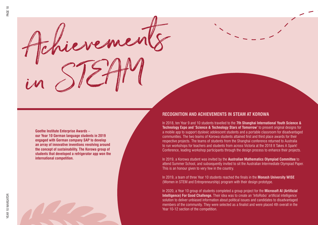Achievements in STEAM

**Goethe Institute Enterprise Awards – our Year 10 German language students in 2019 engaged with German company SAP to develop an array of innovative inventions revolving around the concept of sustainability. The Korowa group of students that developed a refrigerator app won the international competition.**

### **RECOGNITION AND ACHIEVEMENTS IN STEAM AT KOROWA**

In 2018, ten Year 9 and 10 students travelled to the **7th Shanghai International Youth Science & Technology Expo and 'Science & Technology Stars of Tomorrow'** to present original designs for a mobile app to support dyslexic adolescent students and a portable classroom for disadvantaged communities. The two teams of Korowa students attained first and third place awards for their respective projects. The teams of students from the Shanghai conference returned to Australia to run workshops for teachers and students from across Victoria at the 2018 It Takes A Spark! Conference, leading workshop participants through the design process to enhance their projects.

In 2019, a Korowa student was invited by the **Australian Mathematics Olympiad Committee** to attend Summer School, and subsequently invited to sit the Australian Intermediate Olympiad Paper. This is an honour given to very few in the country.

In 2019, a team of three Year 10 students reached the finals in the **Monash University WISE**  (Women in STEM and Entrepreneurship) program with their design prototype.

In 2020, a Year 10 group of students completed a group project for the **Microsoft AI (Artificial Intelligence) For Good Challenge.** Their idea was to create an 'InfoRobo' artificial intelligence solution to deliver unbiased information about political issues and candidates to disadvantaged members of the community. They were selected as a finalist and were placed 4th overall in the Year 10-12 section of the competition.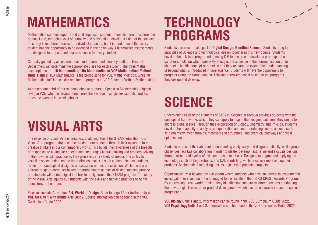# **MATHEMATICS**

Mathematics courses support and challenge each student, to enable them to explore their potential and, through a level of curiosity and satisfaction, develop a liking of the subject. This may take different forms for individual students, but it is fundamental that every student has the opportunity to be extended in their own way. Mathematics assessments are designed to prepare and enable success for every student.

Carefully guided by assessment data and recommendations by staff, the Head of Department will determine the appropriate class for each student. The three Maths class options are: **10 Mathematics; 10A Mathematics or VCE Mathematical Methods Units 1 and 2.** 10A Mathematics is the prerequisite for VCE Maths Methods, while 10 Mathematics fulfills the skills required to progress to VCE General (Further) Mathematics.

At present one third of our students choose to pursue Specialist Mathematics (highest level) in VCE, which is around three times the average in single sex schools, and six times the average in co-ed schools.

### **VISUAL ARTS**

The essence of Visual Arts is creativity, a vital ingredient for STEAM education. Our Visual Arts program stretches the minds of our students through their exposure to the creative thinkers in our contemporary world. This builds their awareness of the breadth of responses to a singular concept and encourages lateral thinking and problem solving in their own artistic practice as they gain skills in a variety of media. The ability to visualise space underpins the three-dimensional arts such as ceramics, as students move from conceptual design to actualisation of their construction. While the use of a broad range of computer-based programs taught as part of design subjects provide our students with a rich digital tool box to apply across the STEAM program. The study of the Visual Arts equips our students with the skills and thinking practices to be the innovators of the future.

Electives include **Ceramics, Art, World of Design.** Refer to page 15 for further details. **VCE Art Unit 1 with Studio Arts Unit 2.** Course information can be found in the VCE Curriculum Guide 2022.

### **TECHNOLOGY PROGRAMS**

Students can elect to take part in **Digital Design: Gamified Science.** Students bring the principles of Science and technological design together in this new course. Students develop their skills in programming using  $C#$  to design and develop a prototype of a game or simulation which creatively engages the audience in the communication of an abstract scientific concept or principle that they research to extend their understanding of beyond what is introduced in core science. Students will have the opportunity to progress along the Computational Thinking micro-credential based on the programs they design and develop.

# **SCIENCE**

Underpinning each of the elements of STEAM, Science at Korowa provides students with the conceptual frameworks which they can apply to inspire the designed solutions they create to address global issues. Through their exploration of Biology, Chemistry and Physics, students develop their capacity to analyse, critique, refine and incorporate engineered aspects such as biomimicry, mechatronics, materials and structures, and chemical pathways and yield optimisation.

Students represent their abstract understanding analytically and diagrammatically, while group challenges facilitate collaboration in order to ideate, develop, test, refine and evaluate designs through structured cycles of evidence-based feedback. Designs are augmented applying the technology such as Lego robotics and CAD modelling, while creatively representing their products. Mathematical modelling assists in justifying predicted impacts.

Opportunities exist beyond the classroom where students who have an interest in experimental investigation or invention are encouraged to participate in the CSIRO CREST Awards Program. By addressing a real-world problem they identify, students are mentored towards conducting their own original research or product development which has a measurable impact on societal progression.

**VCE Biology Units 1 and 2.** Information can be found in the VCE Curriculum Guide 2022. **VCE Psychology Units 1 and 2.** Information can be found in the VCE Curriculum Guide 2022.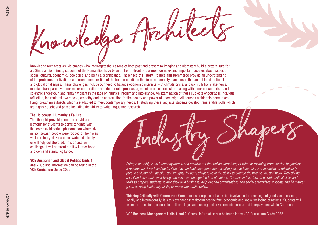

Knowledge Architects are visionaries who interrogate the lessons of both past and present to imagine and ultimately build a better future for all. Since ancient times, students of the Humanities have been at the forefront of our most complex and important debates about issues of social, cultural, economic, ideological and political significance. The lenses of **History, Politics and Commerce** provide an understanding of the problems, motivations and moral complexities of the human condition that inform humanity's actions in the face of local, national and global challenges. These challenges include our need to balance economic interests with climate crisis, unpack truth from fake news, maintain transparency in our major corporations and democratic processes, maintain ethical decision-making within our consumerism and scientific endeavour, and remain vigilant in the face of injustice, racism and intolerance. An examination of these subjects encourages individual reflection, intercultural awareness, empathy and an appreciation for the beauty and power of knowledge. All courses within this domain are living, breathing subjects which are adapted to meet contemporary needs. In studying these subjects students develop transferable skills which are highly sought and prized including the ability to write, argue and research.

#### **The Holocaust: Humanity's Failure:**

This thought-provoking course provides a platform for students to come to terms with this complex historical phenomenon where six million Jewish people were robbed of their lives while ordinary citizens either watched silently or willingly collaborated. This course will challenge, it will confront but it will offer hope and demand eternal vigilance.

**VCE Australian and Global Politics Units 1 and 2.** Course information can be found in the VCE Curriculum Guide 2022.

Industry Shapers *Entrepreneurship is an inherently human and creative act that builds something of value or meaning from spartan beginnings. It requires hard work and dedication, idea and solution generation, a willingness to take risks and the ability to relentlessly pursue a vision with passion and integrity. Industry shapers have the ability to change the way we live and work. They shape social and economic well-being and can even change the fate of nations. Courses in this domain provide critical skills and tools to prepare students to own their own business, help existing organisations and social enterprises to locate and fill market gaps, develop leadership skills, or move into public policy.* 

**Thinking Critically with Commerce:** Commerce is comprised of activities involved in the exchange of goods and services, locally and internationally. It is this exchange that determines the fate, economic and social wellbeing of nations. Students will examine the cultural, economic, political, legal, accounting and environmental forces that interplay here within Commerce.

**VCE Business Management Units 1 and 2.** Course information can be found in the VCE Curriculum Guide 2022.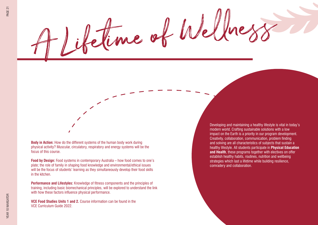PAGE 21

**Body in Action:** How do the different systems of the human body work during physical activity? Muscular, circulatory, respiratory and energy systems will be the focus of this course.

**Food by Design:** Food systems in contemporary Australia – how food comes to one's plate; the role of family in shaping food knowledge and environmental/ethical issues will be the focus of students' learning as they simultaneously develop their food skills in the kitchen.

**Performance and Lifestyles:** Knowledge of fitness components and the principles of training, including basic biomechanical principles, will be explored to understand the link with how these factors influence physical performance.

**VCE Food Studies Units 1 and 2.** Course information can be found in the VCE Curriculum Guide 2022.

Developing and maintaining a healthy lifestyle is vital in today's modern world. Crafting sustainable solutions with a low impact on the Earth is a priority in our program development. Creativity, collaboration, communication, problem finding and solving are all characteristics of subjects that sustain a healthy lifestyle. All students participate in **Physical Education and Health**, these programs together with electives on offer establish healthy habits, routines, nutrition and wellbeing strategies which last a lifetime while building resilience, comradery and collaboration.

Aime of Wellness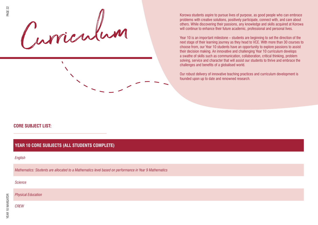Korowa students aspire to pursue lives of purpose, as good people who can embrace<br>problems with creative solutions, positively participate, connect with, and care about<br>others. While discovering their passions, any knowled

 $\mathbf{v}$ 

problems with creative solutions, positively participate, connect with, and care about others. While discovering their passions, any knowledge and skills acquired at Korowa will continue to enhance their future academic, professional and personal lives.

Year 10 is an important milestone – students are beginning to set the direction of the next stage of their learning journey as they head to VCE. With more than 30 courses to choose from, our Year 10 students have an opportunity to explore passions to assist their decision making. An innovative and challenging Year 10 curriculum develops a swathe of skills such as communication, collaboration, critical thinking, problem solving, service and character that will assist our students to thrive and embrace the challenges and benefits of a globalised world.

Our robust delivery of innovative teaching practices and curriculum development is founded upon up to date and renowned research.

### **CORE SUBJECT LIST:**

*Physical Education*

| <b>YEAR 10 CORE SUBJECTS (ALL STUDENTS COMPLETE)</b>                                                  |  |  |
|-------------------------------------------------------------------------------------------------------|--|--|
| English                                                                                               |  |  |
| Mathematics: Students are allocated to a Mathematics level based on performance in Year 9 Mathematics |  |  |
| <b>Science</b>                                                                                        |  |  |
|                                                                                                       |  |  |

*CREW*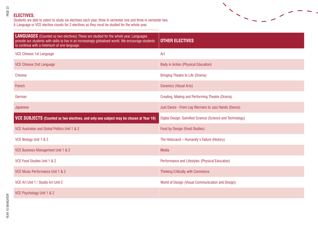### **ELECTIVES:**

Students are able to select to study six electives each year, three in semester one and three in semester two. A Language or VCE elective counts for 2 electives as they must be studied for the whole year.



 $\boldsymbol{\mathcal{N}}$ 

 $\blacktriangledown$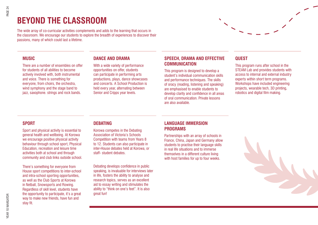### **BEYOND THE CLASSROOM**

The wide array of co-curricular activities complements and adds to the learning that occurs in the classroom. We encourage our students to explore the breadth of experiences to discover their passions, many of which could last a lifetime.

### **MUSIC**

There are a number of ensembles on offer for students of all abilities to become actively involved with, both instrumental and voice. There is something for everyone, from choirs, the orchestra, wind symphony and the stage band to jazz, saxophone. strings and rock bands.

### **DANCE AND DRAMA**

With a wide variety of performance opportunities on offer, students can participate in performing arts productions, plays, dance showcases and concerts. A School Production is held every year, alternating between Senior and Cripps year levels.

### **SPEECH, DRAMA AND EFFECTIVE COMMUNICATION**

This program is designed to develop a student's individual communication skills and performance techniques. The skills of oracy (reading, listening and speaking) are emphasised to enable students to develop clarity and confidence in all areas of oral communication. Private lessons are also available.

### **QUEST**

This program runs after school in the STEAM Lab and provides students with access to internal and external industry experts within short term programs. Workshops have included engineering projects, wearable tech, 3D printing, robotics and digital film making.

### **SPORT**

Sport and physical activity is essential to general health and wellbeing. At Korowa we encourage positive physical activity behaviour through school sport, Physical Education, recreation and leisure time activities both at school and through community and club links outside school.

There's something for everyone from House sport competitions to inter-school and intra-school sporting opportunities, as well as the Club Sports at Korowa in Netball, Snowsports and Rowing. Regardless of skill level, students have the opportunity to participate, it's a great way to make new friends, have fun and stay fit.

### **DEBATING**

Korowa competes in the Debating Association of Victoria's Schools Competition with teams from Years 8 to 12. Students can also participate in inter-House debates held at Korowa, or staff- student debates

Debating develops confidence in public speaking, is invaluable for interviews later in life, fosters the ability to analyse and research topics, serves as an excellent aid to essay writing and stimulates the ability to "think on one's feet". It is also great fun!

### **LANGUAGE IMMERSION PROGRAMS**

Partnerships with an array of schools in France, China, Japan and Germany allow students to practise their language skills in real life situations and to immerse themselves in a different culture living with host families for up to four weeks.